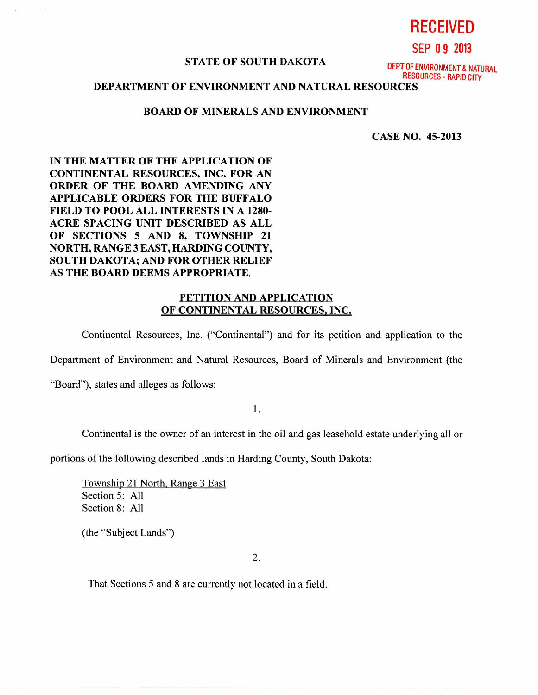#### **STATE OF SOUTH DAKOTA**

DEPT OF ENVIRONMENT & NATURAL RESOURCES - RAPID CITY

**RECEIVED** 

**SEP 0 9 2013** 

# **DEPARTMENT OF ENVIRONMENT AND NATURAL RESOURCES**

# **BOARD OF MINERALS AND ENVIRONMENT**

**CASE NO. 45-2013** 

**IN THE MATTER OF THE APPLICATION OF CONTINENTAL RESOURCES, INC. FOR AN ORDER OF THE BOARD AMENDING ANY APPLICABLE ORDERS FOR THE BUFFALO FIELD TO POOL ALL INTERESTS IN A 1280- ACRE SPACING UNIT DESCRIBED AS ALL OF SECTIONS 5 AND 8, TOWNSHIP 21 NORTH, RANGE 3 EAST, HARDING COUNTY, SOUTH DAKOTA; AND FOR OTHER RELIEF AS THE BOARD DEEMS APPROPRIATE.** 

### **PETITION AND APPLICATION OF CONTINENTAL RESOURCES, INC.**

Continental Resources, Inc. ("Continental") and for its petition and application to the

Department of Environment and Natural Resources, Board of Minerals and Environment (the

"Board"), states and alleges as follows:

1.

Continental is the owner of an interest in the oil and gas leasehold estate underlying all or

portions of the following described lands in Harding County, South Dakota:

Township 21 North, Range 3 East Section 5: All Section 8: All

(the "Subject Lands")

2.

That Sections 5 and 8 are currently not located in a field.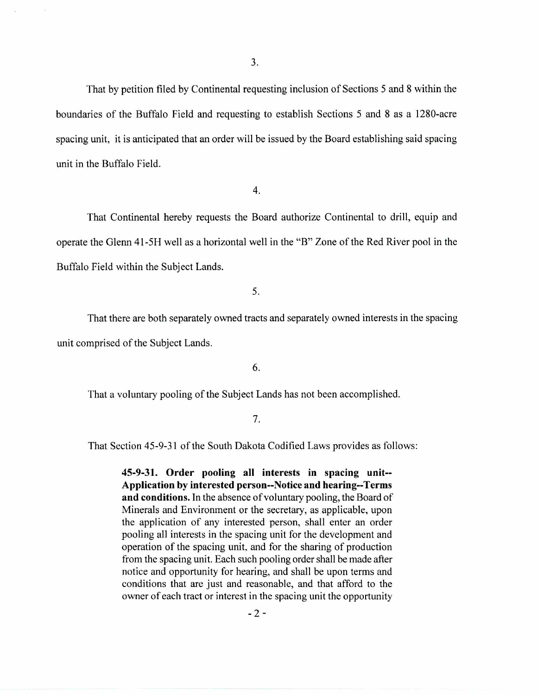That by petition filed by Continental requesting inclusion of Sections 5 and 8 within the boundaries of the Buffalo Field and requesting to establish Sections 5 and 8 as a 1280-acre spacing unit, it is anticipated that an order will be issued by the Board establishing said spacing unit in the Buffalo Field.

4.

That Continental hereby requests the Board authorize Continental to drill, equip and operate the Glenn 41-5H well as a horizontal well in the "B" Zone of the Red River pool in the Buffalo Field within the Subject Lands.

5.

That there are both separately owned tracts and separately owned interests in the spacing unit comprised of the Subject Lands.

6.

That a voluntary pooling of the Subject Lands has not been accomplished.

7.

That Section 45-9-31 of the South Dakota Codified Laws provides as follows:

**45-9-31. Order pooling all interests in spacing unit-- Application by interested person--Notice and hearing--Terms and conditions.** In the absence of voluntary pooling, the Board of Minerals and Environment or the secretary, as applicable, upon the application of any interested person, shall enter an order pooling all interests in the spacing unit for the development and operation of the spacing unit, and for the sharing of production from the spacing unit. Each such pooling order shall be made after notice and opportunity for hearing, and shall be upon terms and conditions that are just and reasonable, and that afford to the owner of each tract or interest in the spacing unit the opportunity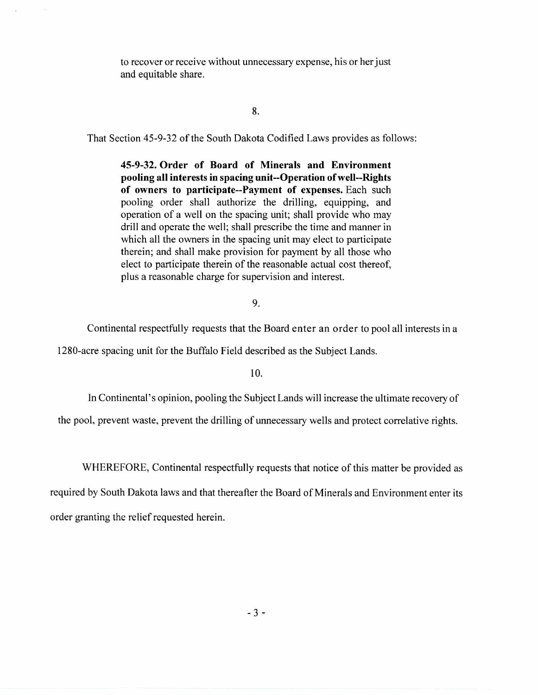to recover or receive without unnecessary expense, his or her just and equitable share.

### 8.

That Section 45-9-32 of the South Dakota Codified Laws provides as follows:

**45-9-32. Order of Board of Minerals and Environment pooling all interests in spacing unit--Operation of well--Rights of owners to participate--Payment of expenses.** Each such pooling order shall authorize the drilling, equipping, and operation of a well on the spacing unit; shall provide who may drill and operate the well; shall prescribe the time and manner in which all the owners in the spacing unit may elect to participate therein; and shall make provision for payment by all those who elect to participate therein of the reasonable actual cost thereof, plus a reasonable charge for supervision and interest.

#### 9.

Continental respectfully requests that the Board enter an order to pool all interests in a

1280-acre spacing unit for the Buffalo Field described as the Subject Lands.

10.

In Continental's opinion, pooling the Subject Lands will increase the ultimate recovery of

the pool, prevent waste, prevent the drilling of unnecessary wells and protect correlative rights.

WHEREFORE, Continental respectfully requests that notice of this matter be provided as

required by South Dakota laws and that thereafter the Board of Minerals and Environment enter its order granting the relief requested herein.